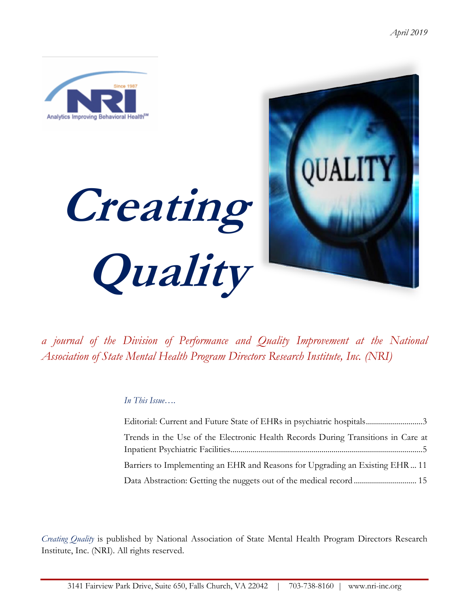

*a journal of the Division of Performance and Quality Improvement at the National Association of State Mental Health Program Directors Research Institute, Inc. (NRI)*

### *In This Issue….*

| Editorial: Current and Future State of EHRs in psychiatric hospitals3            |
|----------------------------------------------------------------------------------|
| Trends in the Use of the Electronic Health Records During Transitions in Care at |
|                                                                                  |
| Barriers to Implementing an EHR and Reasons for Upgrading an Existing EHR  11    |
|                                                                                  |

*Creating Quality* is published by National Association of State Mental Health Program Directors Research Institute, Inc. (NRI). All rights reserved.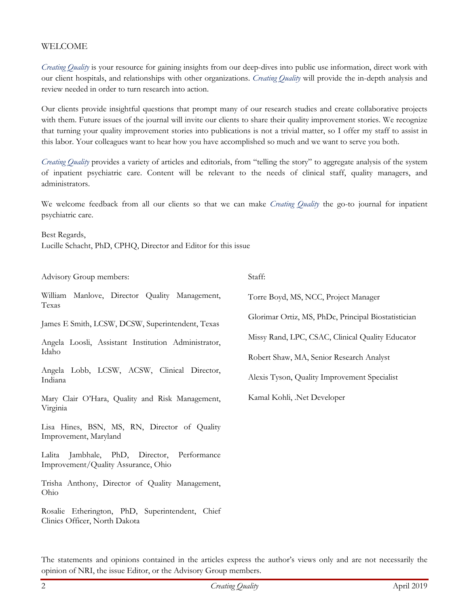### WELCOME

*Creating Quality* is your resource for gaining insights from our deep-dives into public use information, direct work with our client hospitals, and relationships with other organizations. *Creating Quality* will provide the in-depth analysis and review needed in order to turn research into action.

Our clients provide insightful questions that prompt many of our research studies and create collaborative projects with them. Future issues of the journal will invite our clients to share their quality improvement stories. We recognize that turning your quality improvement stories into publications is not a trivial matter, so I offer my staff to assist in this labor. Your colleagues want to hear how you have accomplished so much and we want to serve you both.

*Creating Quality* provides a variety of articles and editorials, from "telling the story" to aggregate analysis of the system of inpatient psychiatric care. Content will be relevant to the needs of clinical staff, quality managers, and administrators.

We welcome feedback from all our clients so that we can make *Creating Quality* the go-to journal for inpatient psychiatric care.

Best Regards, Lucille Schacht, PhD, CPHQ, Director and Editor for this issue

Advisory Group members:

William Manlove, Director Quality Management, Texas

James E Smith, LCSW, DCSW, Superintendent, Texas

Angela Loosli, Assistant Institution Administrator, Idaho

Angela Lobb, LCSW, ACSW, Clinical Director, Indiana

Mary Clair O'Hara, Quality and Risk Management, Virginia

Lisa Hines, BSN, MS, RN, Director of Quality Improvement, Maryland

Lalita Jambhale, PhD, Director, Performance Improvement/Quality Assurance, Ohio

Trisha Anthony, Director of Quality Management, Ohio

Rosalie Etherington, PhD, Superintendent, Chief Clinics Officer, North Dakota

Staff:

Torre Boyd, MS, NCC, Project Manager

Glorimar Ortiz, MS, PhDc, Principal Biostatistician

Missy Rand, LPC, CSAC, Clinical Quality Educator

Robert Shaw, MA, Senior Research Analyst

Alexis Tyson, Quality Improvement Specialist

Kamal Kohli, .Net Developer

The statements and opinions contained in the articles express the author's views only and are not necessarily the opinion of NRI, the issue Editor, or the Advisory Group members.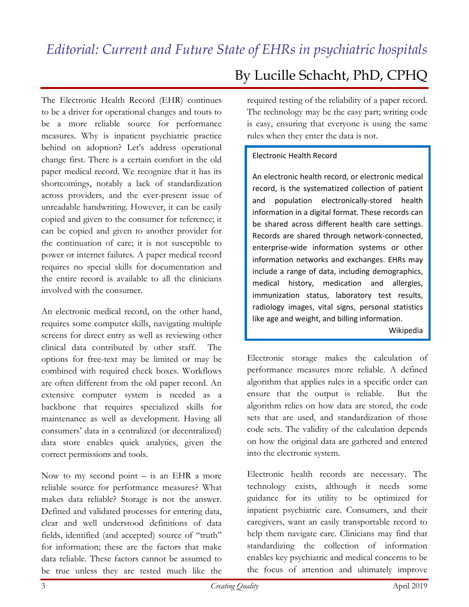<span id="page-2-0"></span>The Electronic Health Record (EHR) continues to be a driver for operational changes and touts to be a more reliable source for performance measures. Why is inpatient psychiatric practice behind on adoption? Let's address operational change first. There is a certain comfort in the old paper medical record. We recognize that it has its shortcomings, notably a lack of standardization across providers, and the ever-present issue of unreadable handwriting. However, it can be easily copied and given to the consumer for reference; it can be copied and given to another provider for the continuation of care; it is not susceptible to power or internet failures. A paper medical record requires no special skills for documentation and the entire record is available to all the clinicians involved with the consumer.

An electronic medical record, on the other hand, requires some computer skills, navigating multiple screens for direct entry as well as reviewing other clinical data contributed by other staff. The options for free-text may be limited or may be combined with required check boxes. Workflows are often different from the old paper record. An extensive computer system is needed as a backbone that requires specialized skills for maintenance as well as development. Having all consumers' data in a centralized (or decentralized) data store enables quick analytics, given the correct permissions and tools.

Now to my second point  $-$  is an EHR a more reliable source for performance measures? What makes data reliable? Storage is not the answer. Defined and validated processes for entering data, clear and well understood definitions of data fields, identified (and accepted) source of "truth" for information; these are the factors that make data reliable. These factors cannot be assumed to be true unless they are tested much like the

# By Lucille Schacht, PhD, CPHQ

required testing of the reliability of a paper record. The technology may be the easy part; writing code is easy, ensuring that everyone is using the same rules when they enter the data is not.

### Electronic Health Record

An electronic health record, or electronic medical record, is the systematized collection of patient and population electronically-stored health information in a digital format. These records can be shared across different health care settings. Records are shared through network-connected, enterprise-wide information systems or other information networks and exchanges. EHRs may include a range of data, including demographics, medical history, medication and allergies, immunization status, laboratory test results, radiology images, vital signs, personal statistics like age and weight, and billing information.

Wikipedia

Electronic storage makes the calculation of performance measures more reliable. A defined algorithm that applies rules in a specific order can ensure that the output is reliable. But the algorithm relies on how data are stored, the code sets that are used, and standardization of those code sets. The validity of the calculation depends on how the original data are gathered and entered into the electronic system.

Electronic health records are necessary. The technology exists, although it needs some guidance for its utility to be optimized for inpatient psychiatric care. Consumers, and their caregivers, want an easily transportable record to help them navigate care. Clinicians may find that standardizing the collection of information enables key psychiatric and medical concerns to be the focus of attention and ultimately improve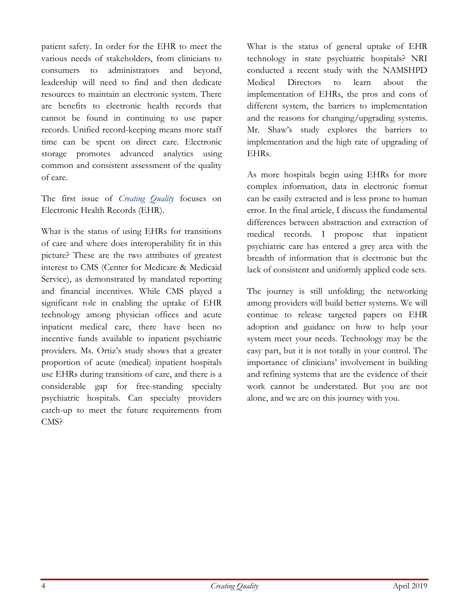patient safety. In order for the EHR to meet the various needs of stakeholders, from clinicians to consumers to administrators and beyond, leadership will need to find and then dedicate resources to maintain an electronic system. There are benefits to electronic health records that cannot be found in continuing to use paper records. Unified record-keeping means more staff time can be spent on direct care. Electronic storage promotes advanced analytics using common and consistent assessment of the quality of care.

The first issue of *Creating Quality* focuses on Electronic Health Records (EHR).

What is the status of using EHRs for transitions of care and where does interoperability fit in this picture? These are the two attributes of greatest interest to CMS (Center for Medicare & Medicaid Service), as demonstrated by mandated reporting and financial incentives. While CMS played a significant role in enabling the uptake of EHR technology among physician offices and acute inpatient medical care, there have been no incentive funds available to inpatient psychiatric providers. Ms. Ortiz's study shows that a greater proportion of acute (medical) inpatient hospitals use EHRs during transitions of care, and there is a considerable gap for free-standing specialty psychiatric hospitals. Can specialty providers catch-up to meet the future requirements from CMS?

What is the status of general uptake of EHR technology in state psychiatric hospitals? NRI conducted a recent study with the NAMSHPD Medical Directors to learn about the implementation of EHRs, the pros and cons of different system, the barriers to implementation and the reasons for changing/upgrading systems. Mr. Shaw's study explores the barriers to implementation and the high rate of upgrading of EHRs.

As more hospitals begin using EHRs for more complex information, data in electronic format can be easily extracted and is less prone to human error. In the final article, I discuss the fundamental differences between abstraction and extraction of medical records. I propose that inpatient psychiatric care has entered a grey area with the breadth of information that is electronic but the lack of consistent and uniformly applied code sets.

The journey is still unfolding; the networking among providers will build better systems. We will continue to release targeted papers on EHR adoption and guidance on how to help your system meet your needs. Technology may be the easy part, but it is not totally in your control. The importance of clinicians' involvement in building and refining systems that are the evidence of their work cannot be understated. But you are not alone, and we are on this journey with you.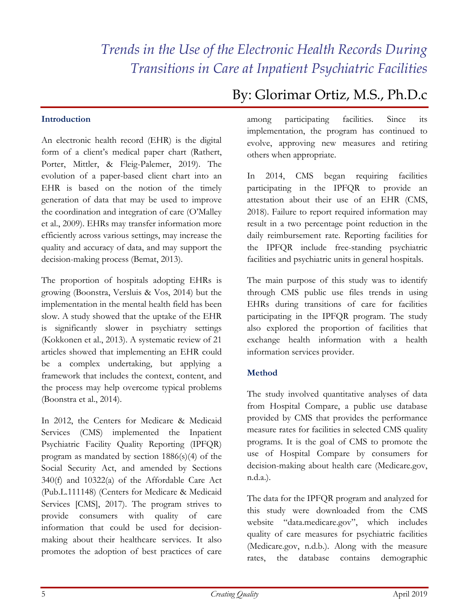# <span id="page-4-0"></span>*Trends in the Use of the Electronic Health Records During Transitions in Care at Inpatient Psychiatric Facilities*

### **Introduction**

An electronic health record (EHR) is the digital form of a client's medical paper chart (Rathert, Porter, Mittler, & Fleig-Palemer, 2019). The evolution of a paper-based client chart into an EHR is based on the notion of the timely generation of data that may be used to improve the coordination and integration of care (O'Malley et al., 2009). EHRs may transfer information more efficiently across various settings, may increase the quality and accuracy of data, and may support the decision-making process (Bemat, 2013).

The proportion of hospitals adopting EHRs is growing (Boonstra, Versluis & Vos, 2014) but the implementation in the mental health field has been slow. A study showed that the uptake of the EHR is significantly slower in psychiatry settings (Kokkonen et al., 2013). A systematic review of 21 articles showed that implementing an EHR could be a complex undertaking, but applying a framework that includes the context, content, and the process may help overcome typical problems (Boonstra et al., 2014).

In 2012, the Centers for Medicare & Medicaid Services (CMS) implemented the Inpatient Psychiatric Facility Quality Reporting (IPFQR) program as mandated by section 1886(s)(4) of the Social Security Act, and amended by Sections 340(f) and 10322(a) of the Affordable Care Act (Pub.L.111148) (Centers for Medicare & Medicaid Services [CMS], 2017). The program strives to provide consumers with quality of care information that could be used for decisionmaking about their healthcare services. It also promotes the adoption of best practices of care

# By: Glorimar Ortiz, M.S., Ph.D.c

among participating facilities. Since its implementation, the program has continued to evolve, approving new measures and retiring others when appropriate.

In 2014, CMS began requiring facilities participating in the IPFQR to provide an attestation about their use of an EHR (CMS, 2018). Failure to report required information may result in a two percentage point reduction in the daily reimbursement rate. Reporting facilities for the IPFQR include free-standing psychiatric facilities and psychiatric units in general hospitals.

The main purpose of this study was to identify through CMS public use files trends in using EHRs during transitions of care for facilities participating in the IPFQR program. The study also explored the proportion of facilities that exchange health information with a health information services provider.

### **Method**

The study involved quantitative analyses of data from Hospital Compare, a public use database provided by CMS that provides the performance measure rates for facilities in selected CMS quality programs. It is the goal of CMS to promote the use of Hospital Compare by consumers for decision-making about health care (Medicare.gov, n.d.a.).

The data for the IPFQR program and analyzed for this study were downloaded from the CMS website "data.medicare.gov", which includes quality of care measures for psychiatric facilities (Medicare.gov, n.d.b.). Along with the measure rates, the database contains demographic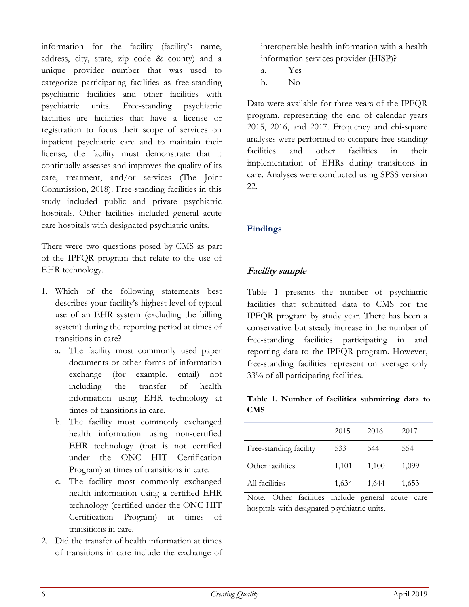information for the facility (facility's name, address, city, state, zip code & county) and a unique provider number that was used to categorize participating facilities as free-standing psychiatric facilities and other facilities with psychiatric units. Free-standing psychiatric facilities are facilities that have a license or registration to focus their scope of services on inpatient psychiatric care and to maintain their license, the facility must demonstrate that it continually assesses and improves the quality of its care, treatment, and/or services (The Joint Commission, 2018). Free-standing facilities in this study included public and private psychiatric hospitals. Other facilities included general acute care hospitals with designated psychiatric units.

There were two questions posed by CMS as part of the IPFQR program that relate to the use of EHR technology.

- 1. Which of the following statements best describes your facility's highest level of typical use of an EHR system (excluding the billing system) during the reporting period at times of transitions in care?
	- a. The facility most commonly used paper documents or other forms of information exchange (for example, email) not including the transfer of health information using EHR technology at times of transitions in care.
	- b. The facility most commonly exchanged health information using non-certified EHR technology (that is not certified under the ONC HIT Certification Program) at times of transitions in care.
	- c. The facility most commonly exchanged health information using a certified EHR technology (certified under the ONC HIT Certification Program) at times of transitions in care.
- 2. Did the transfer of health information at times of transitions in care include the exchange of

interoperable health information with a health information services provider (HISP)?

- a. Yes
- b. No

Data were available for three years of the IPFQR program, representing the end of calendar years 2015, 2016, and 2017. Frequency and chi-square analyses were performed to compare free-standing facilities and other facilities in their implementation of EHRs during transitions in care. Analyses were conducted using SPSS version 22.

# **Findings**

# **Facility sample**

Table 1 presents the number of psychiatric facilities that submitted data to CMS for the IPFQR program by study year. There has been a conservative but steady increase in the number of free-standing facilities participating in and reporting data to the IPFQR program. However, free-standing facilities represent on average only 33% of all participating facilities.

### **Table 1. Number of facilities submitting data to CMS**

|                        | 2015  | 2016  | 2017  |
|------------------------|-------|-------|-------|
| Free-standing facility | 533   | 544   | 554   |
| Other facilities       | 1,101 | 1,100 | 1,099 |
| All facilities         | 1,634 | 1,644 | 1,653 |

Note. Other facilities include general acute care hospitals with designated psychiatric units.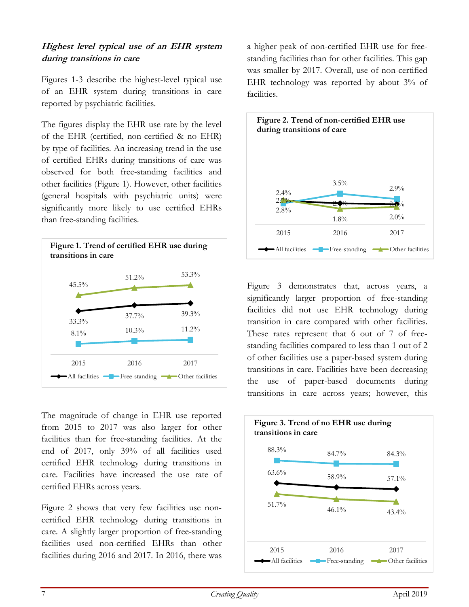### **Highest level typical use of an EHR system during transitions in care**

Figures 1-3 describe the highest-level typical use of an EHR system during transitions in care reported by psychiatric facilities.

The figures display the EHR use rate by the level of the EHR (certified, non-certified & no EHR) by type of facilities. An increasing trend in the use of certified EHRs during transitions of care was observed for both free-standing facilities and other facilities (Figure 1). However, other facilities (general hospitals with psychiatric units) were significantly more likely to use certified EHRs than free-standing facilities.



The magnitude of change in EHR use reported from 2015 to 2017 was also larger for other facilities than for free-standing facilities. At the end of 2017, only 39% of all facilities used certified EHR technology during transitions in care. Facilities have increased the use rate of certified EHRs across years.

Figure 2 shows that very few facilities use noncertified EHR technology during transitions in care. A slightly larger proportion of free-standing facilities used non-certified EHRs than other facilities during 2016 and 2017. In 2016, there was a higher peak of non-certified EHR use for freestanding facilities than for other facilities. This gap was smaller by 2017. Overall, use of non-certified EHR technology was reported by about 3% of facilities.



Figure 3 demonstrates that, across years, a significantly larger proportion of free-standing facilities did not use EHR technology during transition in care compared with other facilities. These rates represent that 6 out of 7 of freestanding facilities compared to less than 1 out of 2 of other facilities use a paper-based system during transitions in care. Facilities have been decreasing the use of paper-based documents during transitions in care across years; however, this

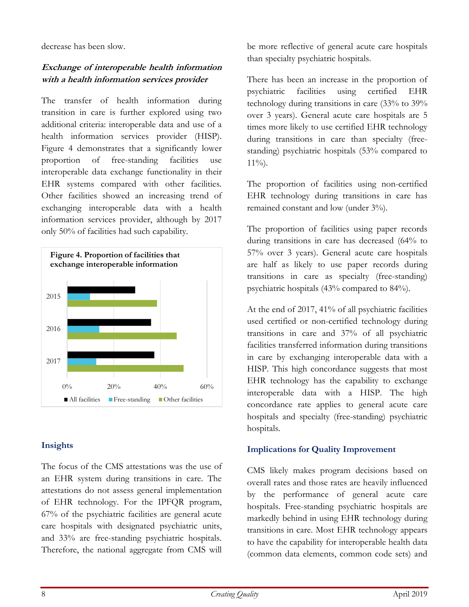decrease has been slow.

# **Exchange of interoperable health information with <sup>a</sup> health information services provider**

The transfer of health information during transition in care is further explored using two additional criteria: interoperable data and use of a health information services provider (HISP). Figure 4 demonstrates that a significantly lower proportion of free-standing facilities use interoperable data exchange functionality in their EHR systems compared with other facilities. Other facilities showed an increasing trend of exchanging interoperable data with a health information services provider, although by 2017 only 50% of facilities had such capability.



### **Insights**

The focus of the CMS attestations was the use of an EHR system during transitions in care. The attestations do not assess general implementation of EHR technology. For the IPFQR program, 67% of the psychiatric facilities are general acute care hospitals with designated psychiatric units, and 33% are free-standing psychiatric hospitals. Therefore, the national aggregate from CMS will

be more reflective of general acute care hospitals than specialty psychiatric hospitals.

There has been an increase in the proportion of psychiatric facilities using certified EHR technology during transitions in care (33% to 39% over 3 years). General acute care hospitals are 5 times more likely to use certified EHR technology during transitions in care than specialty (freestanding) psychiatric hospitals (53% compared to  $11\%$ ).

The proportion of facilities using non-certified EHR technology during transitions in care has remained constant and low (under 3%).

The proportion of facilities using paper records during transitions in care has decreased (64% to 57% over 3 years). General acute care hospitals are half as likely to use paper records during transitions in care as specialty (free-standing) psychiatric hospitals (43% compared to 84%).

At the end of 2017, 41% of all psychiatric facilities used certified or non-certified technology during transitions in care and 37% of all psychiatric facilities transferred information during transitions in care by exchanging interoperable data with a HISP. This high concordance suggests that most EHR technology has the capability to exchange interoperable data with a HISP. The high concordance rate applies to general acute care hospitals and specialty (free-standing) psychiatric hospitals.

# **Implications for Quality Improvement**

CMS likely makes program decisions based on overall rates and those rates are heavily influenced by the performance of general acute care hospitals. Free-standing psychiatric hospitals are markedly behind in using EHR technology during transitions in care. Most EHR technology appears to have the capability for interoperable health data (common data elements, common code sets) and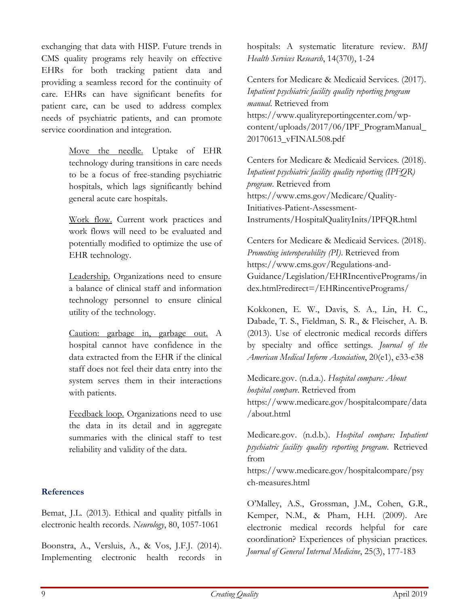exchanging that data with HISP. Future trends in CMS quality programs rely heavily on effective EHRs for both tracking patient data and providing a seamless record for the continuity of care. EHRs can have significant benefits for patient care, can be used to address complex needs of psychiatric patients, and can promote service coordination and integration.

> Move the needle. Uptake of EHR technology during transitions in care needs to be a focus of free-standing psychiatric hospitals, which lags significantly behind general acute care hospitals.

> Work flow. Current work practices and work flows will need to be evaluated and potentially modified to optimize the use of EHR technology.

> Leadership. Organizations need to ensure a balance of clinical staff and information technology personnel to ensure clinical utility of the technology.

> Caution: garbage in, garbage out. A hospital cannot have confidence in the data extracted from the EHR if the clinical staff does not feel their data entry into the system serves them in their interactions with patients.

> Feedback loop. Organizations need to use the data in its detail and in aggregate summaries with the clinical staff to test reliability and validity of the data.

### **References**

Bemat, J.L. (2013). Ethical and quality pitfalls in electronic health records. *Neurology*, 80, 1057-1061

Boonstra, A., Versluis, A., & Vos, J.F.J. (2014). Implementing electronic health records in hospitals: A systematic literature review. *BMJ Health Services Research*, 14(370), 1-24

Centers for Medicare & Medicaid Services. (2017). *Inpatient psychiatric facility quality reporting program manual*. Retrieved from https://www.qualityreportingcenter.com/wpcontent/uploads/2017/06/IPF\_ProgramManual\_ 20170613\_vFINAL508.pdf

Centers for Medicare & Medicaid Services. (2018). *Inpatient psychiatric facility quality reporting (IPFQR) program*. Retrieved from https://www.cms.gov/Medicare/Quality-Initiatives-Patient-Assessment-Instruments/HospitalQualityInits/IPFQR.html

Centers for Medicare & Medicaid Services. (2018). *Promoting interoperability (PI)*. Retrieved from https://www.cms.gov/Regulations-and-Guidance/Legislation/EHRIncentivePrograms/in dex.html?redirect=/EHRincentivePrograms/

Kokkonen, E. W., Davis, S. A., Lin, H. C., Dabade, T. S., Fieldman, S. R., & Fleischer, A. B. (2013). Use of electronic medical records differs by specialty and office settings. *Journal of the American Medical Inform Association*, 20(e1), e33-e38

Medicare.gov. (n.d.a.). *Hospital compare: About hospital compare*. Retrieved from https://www.medicare.gov/hospitalcompare/data /about.html

Medicare.gov. (n.d.b.). *Hospital compare: Inpatient psychiatric facility quality reporting program*. Retrieved from

https://www.medicare.gov/hospitalcompare/psy ch-measures.html

O'Malley, A.S., Grossman, J.M., Cohen, G.R., Kemper, N.M., & Pham, H.H. (2009). Are electronic medical records helpful for care coordination? Experiences of physician practices. *Journal of General Internal Medicine*, 25(3), 177-183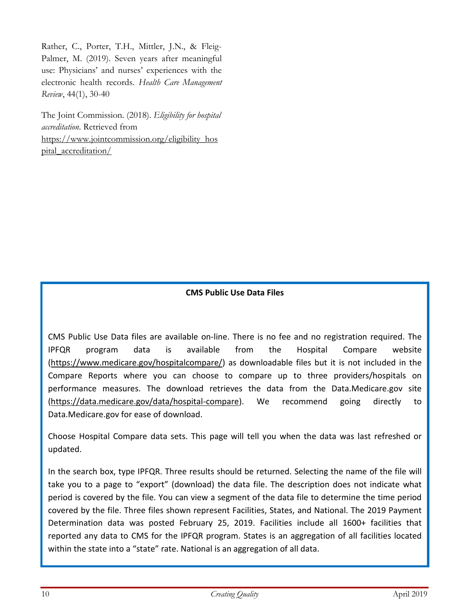Rather, C., Porter, T.H., Mittler, J.N., & Fleig-Palmer, M. (2019). Seven years after meaningful use: Physicians' and nurses' experiences with the electronic health records. *Health Care Management Review*, 44(1), 30-40

The Joint Commission. (2018). *Eligibility for hospital accreditation*. Retrieved from [https://www.jointcommission.org/eligibility\\_hos](https://www.jointcommission.org/eligibility_hospital_accreditation/) [pital\\_accreditation/](https://www.jointcommission.org/eligibility_hospital_accreditation/)

### **CMS Public Use Data Files**

CMS Public Use Data files are available on-line. There is no fee and no registration required. The IPFQR program data is available from the Hospital Compare website [\(https://www.medicare.gov/hospitalcompare/\)](https://www.medicare.gov/hospitalcompare/) as downloadable files but it is not included in the Compare Reports where you can choose to compare up to three providers/hospitals on performance measures. The download retrieves the data from the Data.Medicare.gov site [\(https://data.medicare.gov/data/hospital-compare\)](https://data.medicare.gov/data/hospital-compare). We recommend going directly to Data.Medicare.gov for ease of download.

Choose Hospital Compare data sets. This page will tell you when the data was last refreshed or updated.

In the search box, type IPFQR. Three results should be returned. Selecting the name of the file will take you to a page to "export" (download) the data file. The description does not indicate what period is covered by the file. You can view a segment of the data file to determine the time period covered by the file. Three files shown represent Facilities, States, and National. The 2019 Payment Determination data was posted February 25, 2019. Facilities include all 1600+ facilities that reported any data to CMS for the IPFQR program. States is an aggregation of all facilities located within the state into a "state" rate. National is an aggregation of all data.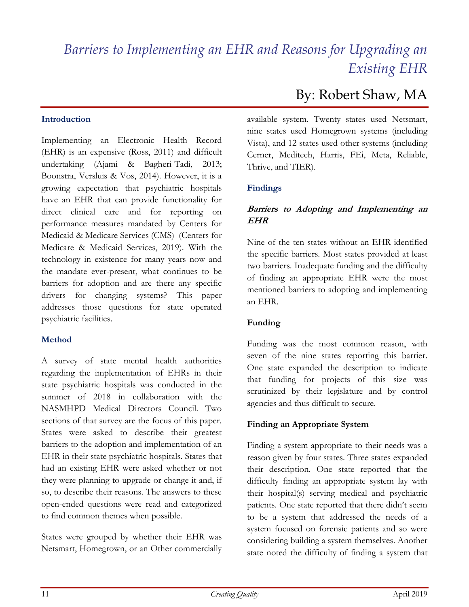# <span id="page-10-0"></span>*Barriers to Implementing an EHR and Reasons for Upgrading an Existing EHR*

### **Introduction**

Implementing an Electronic Health Record (EHR) is an expensive (Ross, 2011) and difficult undertaking (Ajami & Bagheri-Tadi, 2013; Boonstra, Versluis & Vos, 2014). However, it is a growing expectation that psychiatric hospitals have an EHR that can provide functionality for direct clinical care and for reporting on performance measures mandated by Centers for Medicaid & Medicare Services (CMS) (Centers for Medicare & Medicaid Services, 2019). With the technology in existence for many years now and the mandate ever-present, what continues to be barriers for adoption and are there any specific drivers for changing systems? This paper addresses those questions for state operated psychiatric facilities.

### **Method**

A survey of state mental health authorities regarding the implementation of EHRs in their state psychiatric hospitals was conducted in the summer of 2018 in collaboration with the NASMHPD Medical Directors Council. Two sections of that survey are the focus of this paper. States were asked to describe their greatest barriers to the adoption and implementation of an EHR in their state psychiatric hospitals. States that had an existing EHR were asked whether or not they were planning to upgrade or change it and, if so, to describe their reasons. The answers to these open-ended questions were read and categorized to find common themes when possible.

States were grouped by whether their EHR was Netsmart, Homegrown, or an Other commercially

# By: Robert Shaw, MA

available system. Twenty states used Netsmart, nine states used Homegrown systems (including Vista), and 12 states used other systems (including Cerner, Meditech, Harris, FEi, Meta, Reliable, Thrive, and TIER).

### **Findings**

## **Barriers to Adopting and Implementing an EHR**

Nine of the ten states without an EHR identified the specific barriers. Most states provided at least two barriers. Inadequate funding and the difficulty of finding an appropriate EHR were the most mentioned barriers to adopting and implementing an EHR.

### **Funding**

Funding was the most common reason, with seven of the nine states reporting this barrier. One state expanded the description to indicate that funding for projects of this size was scrutinized by their legislature and by control agencies and thus difficult to secure.

### **Finding an Appropriate System**

Finding a system appropriate to their needs was a reason given by four states. Three states expanded their description. One state reported that the difficulty finding an appropriate system lay with their hospital(s) serving medical and psychiatric patients. One state reported that there didn't seem to be a system that addressed the needs of a system focused on forensic patients and so were considering building a system themselves. Another state noted the difficulty of finding a system that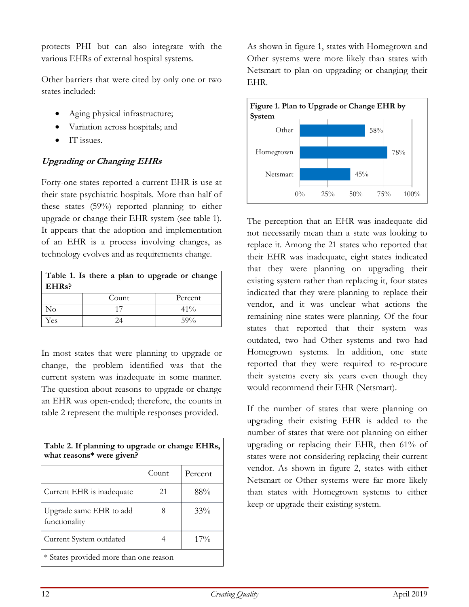protects PHI but can also integrate with the various EHRs of external hospital systems.

Other barriers that were cited by only one or two states included:

- Aging physical infrastructure;
- Variation across hospitals; and
- IT issues.

# **Upgrading or Changing EHRs**

Forty-one states reported a current EHR is use at their state psychiatric hospitals. More than half of these states (59%) reported planning to either upgrade or change their EHR system (see table 1). It appears that the adoption and implementation of an EHR is a process involving changes, as technology evolves and as requirements change.

| Table 1. Is there a plan to upgrade or change  <br>EHRs? |       |         |
|----------------------------------------------------------|-------|---------|
|                                                          | Count | Percent |
| No                                                       | 17    | $41\%$  |
| Yes                                                      | 24    | 59%     |

In most states that were planning to upgrade or change, the problem identified was that the current system was inadequate in some manner. The question about reasons to upgrade or change an EHR was open-ended; therefore, the counts in table 2 represent the multiple responses provided.

| Table 2. If planning to upgrade or change EHRs,<br>what reasons* were given? |       |         |  |
|------------------------------------------------------------------------------|-------|---------|--|
|                                                                              | Count | Percent |  |
| Current EHR is inadequate                                                    | 21    | $88\%$  |  |
| Upgrade same EHR to add<br>functionality                                     | 8     | 33%     |  |
| Current System outdated                                                      |       | $17\%$  |  |
| * States provided more than one reason                                       |       |         |  |

As shown in figure 1, states with Homegrown and Other systems were more likely than states with Netsmart to plan on upgrading or changing their EHR.



The perception that an EHR was inadequate did not necessarily mean than a state was looking to replace it. Among the 21 states who reported that their EHR was inadequate, eight states indicated that they were planning on upgrading their existing system rather than replacing it, four states indicated that they were planning to replace their vendor, and it was unclear what actions the remaining nine states were planning. Of the four states that reported that their system was outdated, two had Other systems and two had Homegrown systems. In addition, one state reported that they were required to re-procure their systems every six years even though they would recommend their EHR (Netsmart).

If the number of states that were planning on upgrading their existing EHR is added to the number of states that were not planning on either upgrading or replacing their EHR, then 61% of states were not considering replacing their current vendor. As shown in figure 2, states with either Netsmart or Other systems were far more likely than states with Homegrown systems to either keep or upgrade their existing system.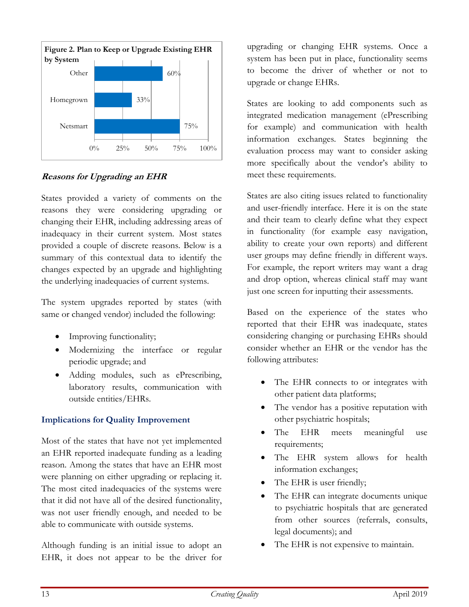

# **Reasons for Upgrading an EHR**

States provided a variety of comments on the reasons they were considering upgrading or changing their EHR, including addressing areas of inadequacy in their current system. Most states provided a couple of discrete reasons. Below is a summary of this contextual data to identify the changes expected by an upgrade and highlighting the underlying inadequacies of current systems.

The system upgrades reported by states (with same or changed vendor) included the following:

- Improving functionality;
- Modernizing the interface or regular periodic upgrade; and
- Adding modules, such as ePrescribing, laboratory results, communication with outside entities/EHRs.

# **Implications for Quality Improvement**

Most of the states that have not yet implemented an EHR reported inadequate funding as a leading reason. Among the states that have an EHR most were planning on either upgrading or replacing it. The most cited inadequacies of the systems were that it did not have all of the desired functionality, was not user friendly enough, and needed to be able to communicate with outside systems.

Although funding is an initial issue to adopt an EHR, it does not appear to be the driver for upgrading or changing EHR systems. Once a system has been put in place, functionality seems to become the driver of whether or not to upgrade or change EHRs.

States are looking to add components such as integrated medication management (ePrescribing for example) and communication with health information exchanges. States beginning the evaluation process may want to consider asking more specifically about the vendor's ability to meet these requirements.

States are also citing issues related to functionality and user-friendly interface. Here it is on the state and their team to clearly define what they expect in functionality (for example easy navigation, ability to create your own reports) and different user groups may define friendly in different ways. For example, the report writers may want a drag and drop option, whereas clinical staff may want just one screen for inputting their assessments.

Based on the experience of the states who reported that their EHR was inadequate, states considering changing or purchasing EHRs should consider whether an EHR or the vendor has the following attributes:

- The EHR connects to or integrates with other patient data platforms;
- The vendor has a positive reputation with other psychiatric hospitals;
- The EHR meets meaningful use requirements;
- The EHR system allows for health information exchanges;
- The EHR is user friendly;
- The EHR can integrate documents unique to psychiatric hospitals that are generated from other sources (referrals, consults, legal documents); and
- The EHR is not expensive to maintain.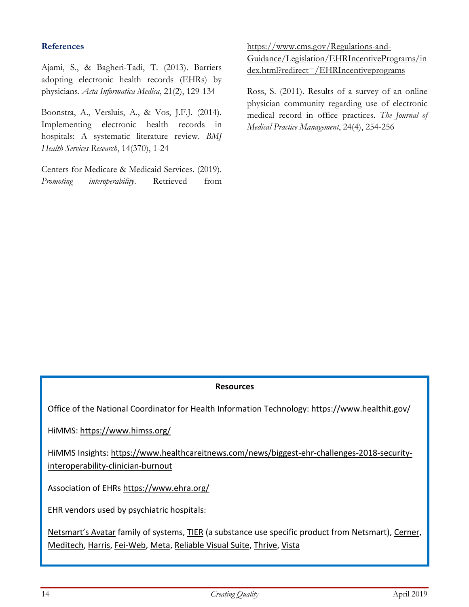### **References**

Ajami, S., & Bagheri-Tadi, T. (2013). Barriers adopting electronic health records (EHRs) by physicians. *Acta Informatica Medica*, 21(2), 129-134

Boonstra, A., Versluis, A., & Vos, J.F.J. (2014). Implementing electronic health records in hospitals: A systematic literature review. *BMJ Health Services Research*, 14(370), 1-24

Centers for Medicare & Medicaid Services. (2019). *Promoting interoperability*. Retrieved from [https://www.cms.gov/Regulations-and-](https://www.cms.gov/Regulations-and-Guidance/Legislation/EHRIncentivePrograms/index.html?redirect=/EHRIncentiveprograms)[Guidance/Legislation/EHRIncentivePrograms/in](https://www.cms.gov/Regulations-and-Guidance/Legislation/EHRIncentivePrograms/index.html?redirect=/EHRIncentiveprograms) [dex.html?redirect=/EHRIncentiveprograms](https://www.cms.gov/Regulations-and-Guidance/Legislation/EHRIncentivePrograms/index.html?redirect=/EHRIncentiveprograms)

Ross, S. (2011). Results of a survey of an online physician community regarding use of electronic medical record in office practices. *The Journal of Medical Practice Management*, 24(4), 254-256

### **Resources**

Office of the National Coordinator for Health Information Technology: <https://www.healthit.gov/>

HiMMS: <https://www.himss.org/>

HiMMS Insights: [https://www.healthcareitnews.com/news/biggest-ehr-challenges-2018-security](https://www.healthcareitnews.com/news/biggest-ehr-challenges-2018-security-interoperability-clinician-burnout)[interoperability-clinician-burnout](https://www.healthcareitnews.com/news/biggest-ehr-challenges-2018-security-interoperability-clinician-burnout)

Association of EHRs <https://www.ehra.org/>

EHR vendors used by psychiatric hospitals:

[Netsmart's](https://www.ntst.com/Solutions-We-Offer/products/myAvatar.aspx) Avatar family of systems, [TIER](https://www.ntst.com/Solutions-We-Offer/products/TIER.aspx) (a substance use specific product from Netsmart), [Cerner,](https://www.cerner.com/solutions/behavioral-health) [Meditech,](https://ehr.meditech.com/ehr-solutions/behavioral-health-hospitals-health-systems) [Harris,](https://www.harrisccs.com/) [Fei-Web,](http://www.feisystems.com/what-we-do/learn-about-wits/) [Meta,](http://www.metacaresolutions.com/) [Reliable](http://www.reliablehealth.com/) Visual Suite, [Thrive,](https://www.evident.com/thrive-ehr-system) [Vista](http://worldvista.org/AboutVistA)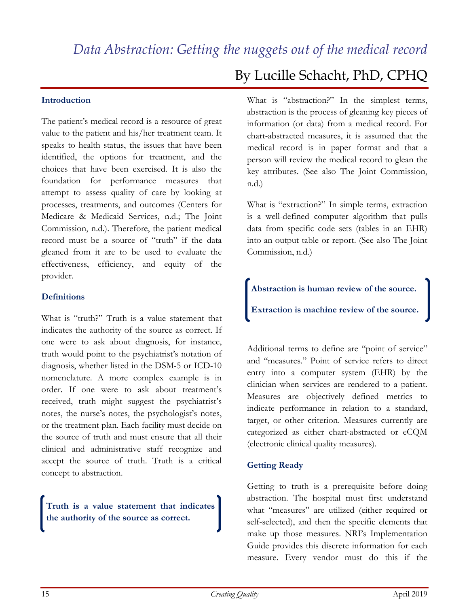#### <span id="page-14-0"></span>**Introduction**

The patient's medical record is a resource of great value to the patient and his/her treatment team. It speaks to health status, the issues that have been identified, the options for treatment, and the choices that have been exercised. It is also the foundation for performance measures that attempt to assess quality of care by looking at processes, treatments, and outcomes (Centers for Medicare & Medicaid Services, n.d.; The Joint Commission, n.d.). Therefore, the patient medical record must be a source of "truth" if the data gleaned from it are to be used to evaluate the effectiveness, efficiency, and equity of the provider.

#### **Definitions**

What is "truth?" Truth is a value statement that indicates the authority of the source as correct. If one were to ask about diagnosis, for instance, truth would point to the psychiatrist's notation of diagnosis, whether listed in the DSM-5 or ICD-10 nomenclature. A more complex example is in order. If one were to ask about treatment's received, truth might suggest the psychiatrist's notes, the nurse's notes, the psychologist's notes, or the treatment plan. Each facility must decide on the source of truth and must ensure that all their clinical and administrative staff recognize and accept the source of truth. Truth is a critical concept to abstraction.

**Truth is a value statement that indicates the authority of the source as correct.**

# By Lucille Schacht, PhD, CPHQ

What is "abstraction?" In the simplest terms, abstraction is the process of gleaning key pieces of information (or data) from a medical record. For chart-abstracted measures, it is assumed that the medical record is in paper format and that a person will review the medical record to glean the key attributes. (See also The Joint Commission, n.d.)

What is "extraction?" In simple terms, extraction is a well-defined computer algorithm that pulls data from specific code sets (tables in an EHR) into an output table or report. (See also The Joint Commission, n.d.)

**Abstraction is human review of the source.**

**Extraction is machine review of the source.**

Additional terms to define are "point of service" and "measures." Point of service refers to direct entry into a computer system (EHR) by the clinician when services are rendered to a patient. Measures are objectively defined metrics to indicate performance in relation to a standard, target, or other criterion. Measures currently are categorized as either chart-abstracted or eCQM (electronic clinical quality measures).

### **Getting Ready**

Getting to truth is a prerequisite before doing abstraction. The hospital must first understand what "measures" are utilized (either required or self-selected), and then the specific elements that make up those measures. NRI's Implementation Guide provides this discrete information for each measure. Every vendor must do this if the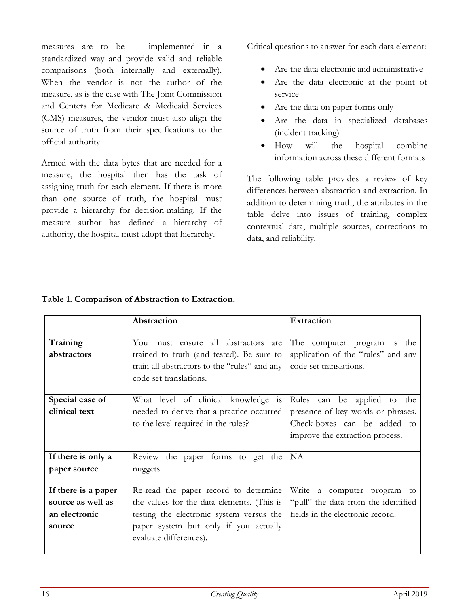measures are to be implemented in a standardized way and provide valid and reliable comparisons (both internally and externally). When the vendor is not the author of the measure, as is the case with The Joint Commission and Centers for Medicare & Medicaid Services (CMS) measures, the vendor must also align the source of truth from their specifications to the official authority.

Armed with the data bytes that are needed for a measure, the hospital then has the task of assigning truth for each element. If there is more than one source of truth, the hospital must provide a hierarchy for decision-making. If the measure author has defined a hierarchy of authority, the hospital must adopt that hierarchy.

Critical questions to answer for each data element:

- Are the data electronic and administrative
- Are the data electronic at the point of service
- Are the data on paper forms only
- Are the data in specialized databases (incident tracking)
- How will the hospital combine information across these different formats

The following table provides a review of key differences between abstraction and extraction. In addition to determining truth, the attributes in the table delve into issues of training, complex contextual data, multiple sources, corrections to data, and reliability.

|                     | Abstraction                                  | <b>Extraction</b>                   |
|---------------------|----------------------------------------------|-------------------------------------|
|                     |                                              |                                     |
|                     | You must ensure all abstractors are          |                                     |
| Training            |                                              | The computer program is<br>the      |
| abstractors         | trained to truth (and tested). Be sure to    | application of the "rules" and any  |
|                     | train all abstractors to the "rules" and any | code set translations.              |
|                     | code set translations.                       |                                     |
|                     |                                              |                                     |
| Special case of     | What level of clinical knowledge is          | Rules can be applied<br>the<br>to   |
| clinical text       | needed to derive that a practice occurred    | presence of key words or phrases.   |
|                     | to the level required in the rules?          | Check-boxes can be added to         |
|                     |                                              | improve the extraction process.     |
|                     |                                              |                                     |
| If there is only a  | Review the paper forms to get the            | <b>NA</b>                           |
| paper source        | nuggets.                                     |                                     |
|                     |                                              |                                     |
| If there is a paper | Re-read the paper record to determine        | Write a computer program to         |
| source as well as   | the values for the data elements. (This is   | "pull" the data from the identified |
| an electronic       | testing the electronic system versus the     | fields in the electronic record.    |
| source              | paper system but only if you actually        |                                     |
|                     | evaluate differences).                       |                                     |
|                     |                                              |                                     |

## **Table 1. Comparison of Abstraction to Extraction.**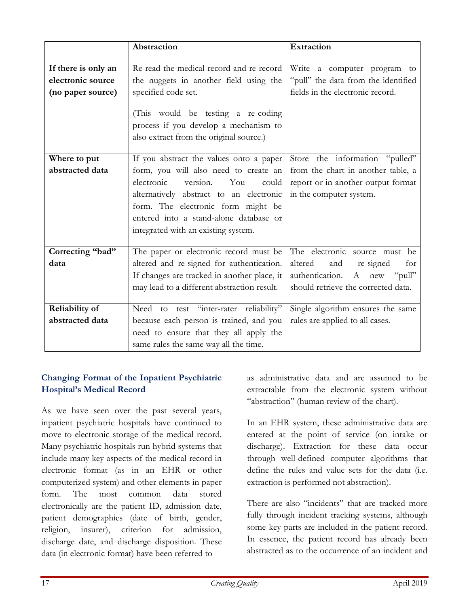|                                                               | Abstraction                                                                                                                                                                                                                                                                                  | Extraction                                                                                                                                 |
|---------------------------------------------------------------|----------------------------------------------------------------------------------------------------------------------------------------------------------------------------------------------------------------------------------------------------------------------------------------------|--------------------------------------------------------------------------------------------------------------------------------------------|
| If there is only an<br>electronic source<br>(no paper source) | Re-read the medical record and re-record<br>the nuggets in another field using the<br>specified code set.<br>(This would be testing a re-coding<br>process if you develop a mechanism to<br>also extract from the original source.)                                                          | Write a computer program<br>to<br>"pull" the data from the identified<br>fields in the electronic record.                                  |
| Where to put<br>abstracted data                               | If you abstract the values onto a paper<br>form, you will also need to create an<br>electronic<br>version.<br>You<br>could<br>alternatively abstract to an electronic<br>form. The electronic form might be<br>entered into a stand-alone database or<br>integrated with an existing system. | Store the information "pulled"<br>from the chart in another table, a<br>report or in another output format<br>in the computer system.      |
| Correcting "bad"<br>data                                      | The paper or electronic record must be<br>altered and re-signed for authentication.<br>If changes are tracked in another place, it<br>may lead to a different abstraction result.                                                                                                            | The electronic source must be<br>altered<br>and<br>re-signed<br>for<br>authentication. A new "pull"<br>should retrieve the corrected data. |
| <b>Reliability of</b><br>abstracted data                      | Need to test "inter-rater reliability"<br>because each person is trained, and you<br>need to ensure that they all apply the<br>same rules the same way all the time.                                                                                                                         | Single algorithm ensures the same<br>rules are applied to all cases.                                                                       |

# **Changing Format of the Inpatient Psychiatric Hospital's Medical Record**

As we have seen over the past several years, inpatient psychiatric hospitals have continued to move to electronic storage of the medical record. Many psychiatric hospitals run hybrid systems that include many key aspects of the medical record in electronic format (as in an EHR or other computerized system) and other elements in paper form. The most common data stored electronically are the patient ID, admission date, patient demographics (date of birth, gender, religion, insurer), criterion for admission, discharge date, and discharge disposition. These data (in electronic format) have been referred to

as administrative data and are assumed to be extractable from the electronic system without "abstraction" (human review of the chart).

In an EHR system, these administrative data are entered at the point of service (on intake or discharge). Extraction for these data occur through well-defined computer algorithms that define the rules and value sets for the data (i.e. extraction is performed not abstraction).

There are also "incidents" that are tracked more fully through incident tracking systems, although some key parts are included in the patient record. In essence, the patient record has already been abstracted as to the occurrence of an incident and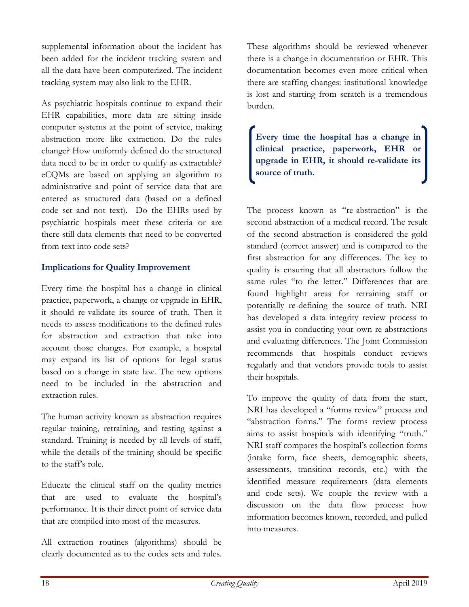supplemental information about the incident has been added for the incident tracking system and all the data have been computerized. The incident tracking system may also link to the EHR.

As psychiatric hospitals continue to expand their EHR capabilities, more data are sitting inside computer systems at the point of service, making abstraction more like extraction. Do the rules change? How uniformly defined do the structured data need to be in order to qualify as extractable? eCQMs are based on applying an algorithm to administrative and point of service data that are entered as structured data (based on a defined code set and not text). Do the EHRs used by psychiatric hospitals meet these criteria or are there still data elements that need to be converted from text into code sets?

# **Implications for Quality Improvement**

Every time the hospital has a change in clinical practice, paperwork, a change or upgrade in EHR, it should re-validate its source of truth. Then it needs to assess modifications to the defined rules for abstraction and extraction that take into account those changes. For example, a hospital may expand its list of options for legal status based on a change in state law. The new options need to be included in the abstraction and extraction rules.

The human activity known as abstraction requires regular training, retraining, and testing against a standard. Training is needed by all levels of staff, while the details of the training should be specific to the staff's role.

Educate the clinical staff on the quality metrics that are used to evaluate the hospital's performance. It is their direct point of service data that are compiled into most of the measures.

All extraction routines (algorithms) should be clearly documented as to the codes sets and rules.

These algorithms should be reviewed whenever there is a change in documentation or EHR. This documentation becomes even more critical when there are staffing changes: institutional knowledge is lost and starting from scratch is a tremendous burden.

**Every time the hospital has a change in clinical practice, paperwork, EHR or upgrade in EHR, it should re-validate its source of truth.**

The process known as "re-abstraction" is the second abstraction of a medical record. The result of the second abstraction is considered the gold standard (correct answer) and is compared to the first abstraction for any differences. The key to quality is ensuring that all abstractors follow the same rules "to the letter." Differences that are found highlight areas for retraining staff or potentially re-defining the source of truth. NRI has developed a data integrity review process to assist you in conducting your own re-abstractions and evaluating differences. The Joint Commission recommends that hospitals conduct reviews regularly and that vendors provide tools to assist their hospitals.

To improve the quality of data from the start, NRI has developed a "forms review" process and "abstraction forms." The forms review process aims to assist hospitals with identifying "truth." NRI staff compares the hospital's collection forms (intake form, face sheets, demographic sheets, assessments, transition records, etc.) with the identified measure requirements (data elements and code sets). We couple the review with a discussion on the data flow process: how information becomes known, recorded, and pulled into measures.